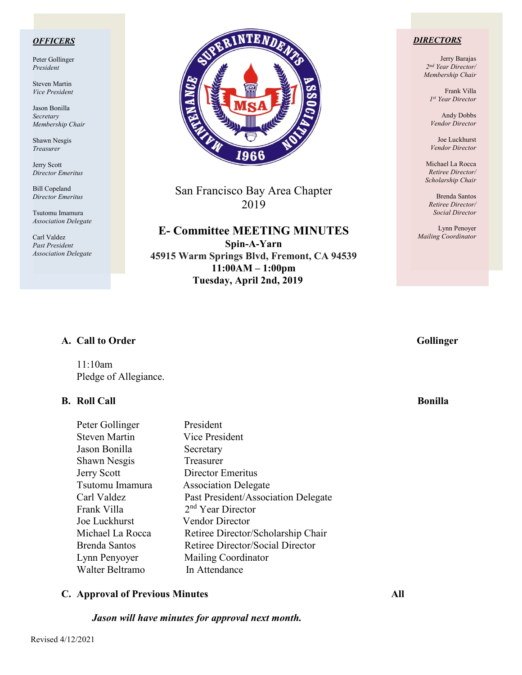#### *OFFICERS*

Peter Gollinger *President*

Steven Martin *Vice President*

Jason Bonilla *Secretary Membership Chair*

Shawn Nesgis *Treasurer*

Jerry Scott *Director Emeritus*

Bill Copeland *Director Emeritus*

Tsutomu Imamura *Association Delegate*

Carl Valdez *Past President Association Delegate*



San Francisco Bay Area Chapter 2019

**E- Committee MEETING MINUTES Spin-A-Yarn 45915 Warm Springs Blvd, Fremont, CA 94539 11:00AM – 1:00pm Tuesday, April 2nd, 2019**

#### *DIRECTORS*

Jerry Barajas *2nd Year Director/ Membership Chair*

> Frank Villa *1st Year Director*

Andy Dobbs *Vendor Director*

Joe Luckhurst *Vendor Director*

Michael La Rocca *Retiree Director/ Scholarship Chair*

Brenda Santos *Retiree Director/ Social Director*

Lynn Penoyer *Mailing Coordinator*

#### A. Call to Order Gollinger

11:10am Pledge of Allegiance.

#### **B.** Roll Call Bonilla

Peter Gollinger President Steven Martin Vice President Jason Bonilla Secretary Shawn Nesgis Treasurer Jerry Scott Director Emeritus Tsutomu Imamura Association Delegate Carl Valdez Past President/Association Delegate Frank Villa 2<sup>nd</sup> Year Director Joe Luckhurst Vendor Director Michael La Rocca Retiree Director/Scholarship Chair Brenda Santos Retiree Director/Social Director Lynn Penyoyer Mailing Coordinator Walter Beltramo In Attendance

#### **C. Approval of Previous Minutes All**

 *Jason will have minutes for approval next month.*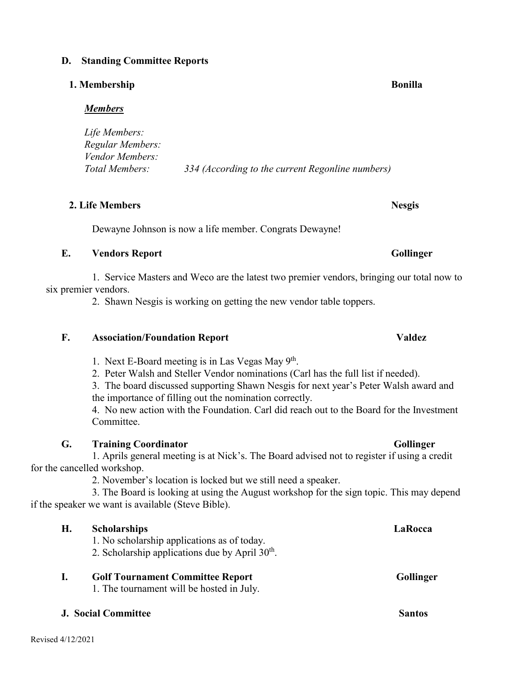#### **D. Standing Committee Reports**

#### **1. Membership Bonilla**

#### *Members*

| Life Members:    |                                                  |
|------------------|--------------------------------------------------|
| Regular Members: |                                                  |
| Vendor Members:  |                                                  |
| Total Members:   | 334 (According to the current Regonline numbers) |

**2.** Life Members Nesgis

Dewayne Johnson is now a life member. Congrats Dewayne!

## **E.** Vendors Report Gollinger

1. Service Masters and Weco are the latest two premier vendors, bringing our total now to six premier vendors.

2. Shawn Nesgis is working on getting the new vendor table toppers.

## **F. Association/Foundation Report Valdez**

- 1. Next E-Board meeting is in Las Vegas May  $9<sup>th</sup>$ .
- 2. Peter Walsh and Steller Vendor nominations (Carl has the full list if needed).
- 3. The board discussed supporting Shawn Nesgis for next year's Peter Walsh award and the importance of filling out the nomination correctly.

4. No new action with the Foundation. Carl did reach out to the Board for the Investment Committee.

## **G. Training Coordinator** Gollinger

1. Aprils general meeting is at Nick's. The Board advised not to register if using a credit for the cancelled workshop.

2. November's location is locked but we still need a speaker.

 3. The Board is looking at using the August workshop for the sign topic. This may depend if the speaker we want is available (Steve Bible).

| Н. | <b>Scholarships</b>                               | LaRocca          |
|----|---------------------------------------------------|------------------|
|    | 1. No scholarship applications as of today.       |                  |
|    | 2. Scholarship applications due by April $30th$ . |                  |
| I. | <b>Golf Tournament Committee Report</b>           | <b>Gollinger</b> |
|    | 1. The tournament will be hosted in July.         |                  |